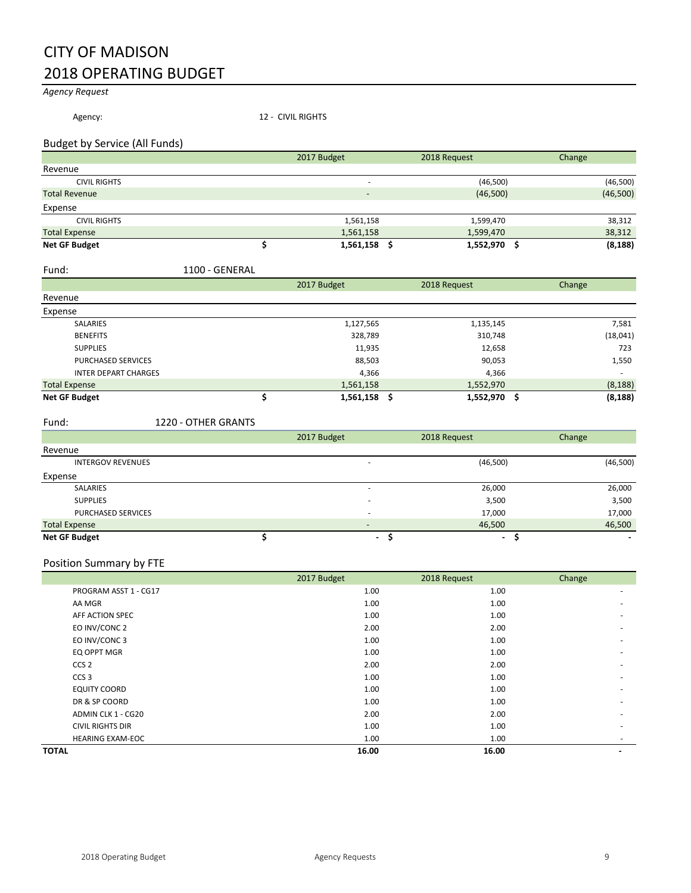# CITY OF MADISON 2018 OPERATING BUDGET

#### *Agency Request*

Agency: 12 - CIVIL RIGHTS

#### Budget by Service (All Funds)

|                      | 2017 Budget                  | 2018 Request     | Change   |
|----------------------|------------------------------|------------------|----------|
| Revenue              |                              |                  |          |
| <b>CIVIL RIGHTS</b>  |                              | (46,500)<br>$\,$ | (46,500) |
| <b>Total Revenue</b> | $\qquad \qquad \blacksquare$ | (46,500)         | (46,500) |
| Expense              |                              |                  |          |
| <b>CIVIL RIGHTS</b>  | 1,561,158                    | 1,599,470        | 38,312   |
| <b>Total Expense</b> | 1,561,158                    | 1,599,470        | 38,312   |
| <b>Net GF Budget</b> | 1,561,158                    | 1,552,970        | (8, 188) |

#### Fund: 1100 - GENERAL

|                             | 2017 Budget    | 2018 Request | Change        |
|-----------------------------|----------------|--------------|---------------|
| Revenue                     |                |              |               |
| Expense                     |                |              |               |
| SALARIES                    | 1,127,565      | 1,135,145    | 7,581         |
| <b>BENEFITS</b>             | 328,789        | 310,748      | (18,041)      |
| <b>SUPPLIES</b>             | 11,935         | 12,658       | 723           |
| <b>PURCHASED SERVICES</b>   | 88,503         | 90,053       | 1,550         |
| <b>INTER DEPART CHARGES</b> | 4,366          | 4,366        |               |
| <b>Total Expense</b>        | 1,561,158      | 1,552,970    | (8, 188)      |
| <b>Net GF Budget</b>        | $1,561,158$ \$ | 1,552,970    | (8, 188)<br>S |

Fund: 1220 - OTHER GRANTS

|                           | 2017 Budget |                          | 2018 Request | Change    |
|---------------------------|-------------|--------------------------|--------------|-----------|
| Revenue                   |             |                          |              |           |
| <b>INTERGOV REVENUES</b>  |             | $\overline{\phantom{a}}$ | (46,500)     | (46, 500) |
| Expense                   |             |                          |              |           |
| SALARIES                  |             | ۰                        | 26,000       | 26,000    |
| <b>SUPPLIES</b>           |             |                          | 3,500        | 3,500     |
| <b>PURCHASED SERVICES</b> |             | $\overline{\phantom{a}}$ | 17,000       | 17,000    |
| <b>Total Expense</b>      |             | $\overline{\phantom{a}}$ | 46,500       | 46,500    |
| <b>Net GF Budget</b>      |             |                          | ۰.           |           |

#### Position Summary by FTE

|                         | 2017 Budget | 2018 Request | Change |
|-------------------------|-------------|--------------|--------|
| PROGRAM ASST 1 - CG17   | 1.00        | 1.00         | ۰      |
| AA MGR                  | 1.00        | 1.00         |        |
| AFF ACTION SPEC         | 1.00        | 1.00         |        |
| EO INV/CONC 2           | 2.00        | 2.00         |        |
| EO INV/CONC 3           | 1.00        | 1.00         |        |
| EQ OPPT MGR             | 1.00        | 1.00         |        |
| CCS <sub>2</sub>        | 2.00        | 2.00         | ۰      |
| CCS <sub>3</sub>        | 1.00        | 1.00         |        |
| <b>EQUITY COORD</b>     | 1.00        | 1.00         |        |
| DR & SP COORD           | 1.00        | 1.00         |        |
| ADMIN CLK 1 - CG20      | 2.00        | 2.00         |        |
| <b>CIVIL RIGHTS DIR</b> | 1.00        | 1.00         |        |
| <b>HEARING EXAM-EOC</b> | 1.00        | 1.00         | ۰      |
| <b>TOTAL</b>            | 16.00       | 16.00        |        |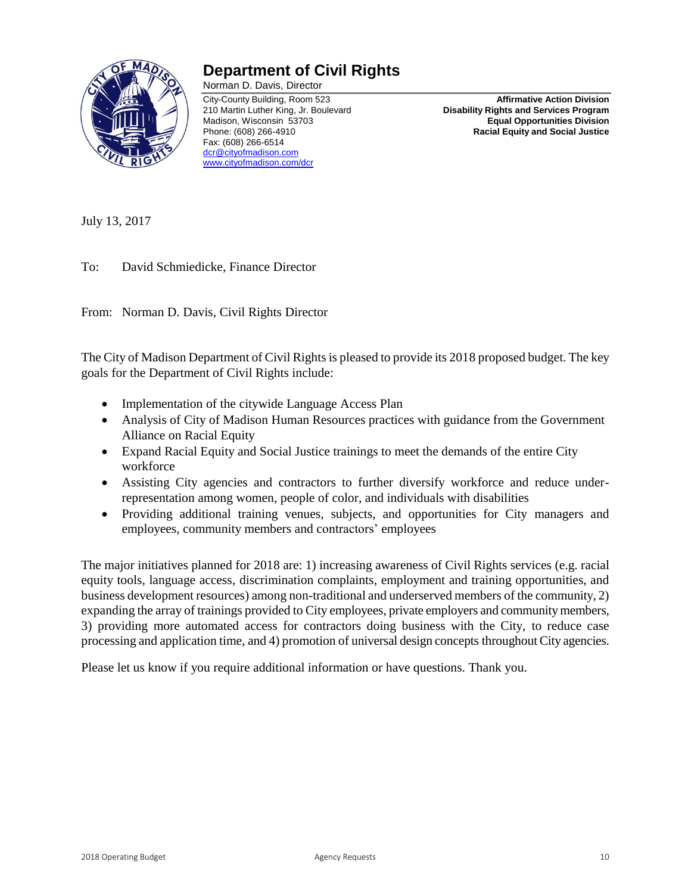

## **Department of Civil Rights**

Norman D. Davis, Director Fax: (608) 266-6514 [dcr@cityofmadison.com](mailto:dcr@cityofmadison.com) [www.cityofmadison.com/dcr](http://www.cityofmadison.com/dcr)

City-County Building, Room 523 **Affirmative Action Division Disability Rights and Services Program** Madison, Wisconsin 53703 **Equal Opportunities Division** Phone: (608) 266-4910 **Racial Equity and Social Justice**

July 13, 2017

To: David Schmiedicke, Finance Director

From: Norman D. Davis, Civil Rights Director

The City of Madison Department of Civil Rights is pleased to provide its 2018 proposed budget. The key goals for the Department of Civil Rights include:

- Implementation of the citywide Language Access Plan
- Analysis of City of Madison Human Resources practices with guidance from the Government Alliance on Racial Equity
- Expand Racial Equity and Social Justice trainings to meet the demands of the entire City workforce
- Assisting City agencies and contractors to further diversify workforce and reduce underrepresentation among women, people of color, and individuals with disabilities
- Providing additional training venues, subjects, and opportunities for City managers and employees, community members and contractors' employees

The major initiatives planned for 2018 are: 1) increasing awareness of Civil Rights services (e.g. racial equity tools, language access, discrimination complaints, employment and training opportunities, and business development resources) among non-traditional and underserved members of the community, 2) expanding the array of trainings provided to City employees, private employers and community members, 3) providing more automated access for contractors doing business with the City, to reduce case processing and application time, and 4) promotion of universal design concepts throughout City agencies.

Please let us know if you require additional information or have questions. Thank you.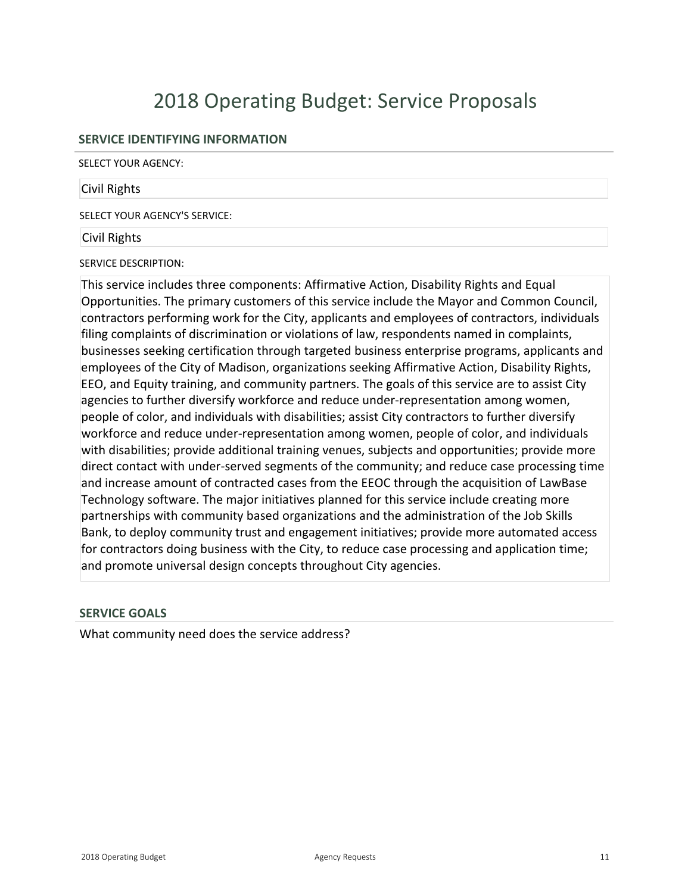# 2018 Operating Budget: Service Proposals

#### **SERVICE IDENTIFYING INFORMATION**

SELECT YOUR AGENCY:

#### Civil Rights

SELECT YOUR AGENCY'S SERVICE:

#### Civil Rights

SERVICE DESCRIPTION:

This service includes three components: Affirmative Action, Disability Rights and Equal Opportunities. The primary customers of this service include the Mayor and Common Council, contractors performing work for the City, applicants and employees of contractors, individuals filing complaints of discrimination or violations of law, respondents named in complaints, businesses seeking certification through targeted business enterprise programs, applicants and employees of the City of Madison, organizations seeking Affirmative Action, Disability Rights, EEO, and Equity training, and community partners. The goals of this service are to assist City agencies to further diversify workforce and reduce under-representation among women, people of color, and individuals with disabilities; assist City contractors to further diversify workforce and reduce under-representation among women, people of color, and individuals with disabilities; provide additional training venues, subjects and opportunities; provide more direct contact with under-served segments of the community; and reduce case processing time and increase amount of contracted cases from the EEOC through the acquisition of LawBase Technology software. The major initiatives planned for this service include creating more partnerships with community based organizations and the administration of the Job Skills Bank, to deploy community trust and engagement initiatives; provide more automated access for contractors doing business with the City, to reduce case processing and application time; and promote universal design concepts throughout City agencies.

#### **SERVICE GOALS**

What community need does the service address?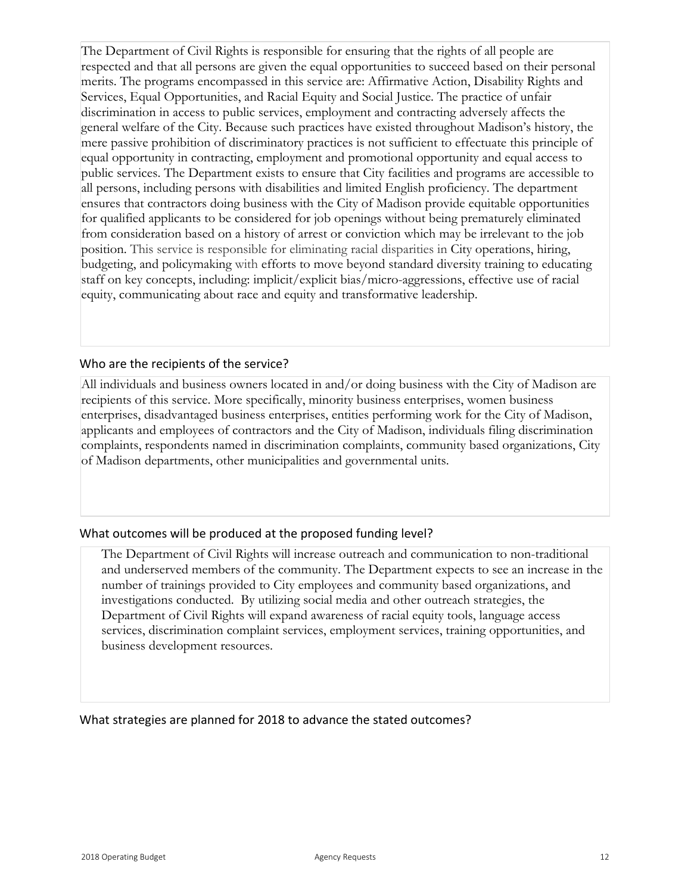The Department of Civil Rights is responsible for ensuring that the rights of all people are respected and that all persons are given the equal opportunities to succeed based on their personal merits. The programs encompassed in this service are: Affirmative Action, Disability Rights and Services, Equal Opportunities, and Racial Equity and Social Justice. The practice of unfair discrimination in access to public services, employment and contracting adversely affects the general welfare of the City. Because such practices have existed throughout Madison's history, the mere passive prohibition of discriminatory practices is not sufficient to effectuate this principle of equal opportunity in contracting, employment and promotional opportunity and equal access to public services. The Department exists to ensure that City facilities and programs are accessible to all persons, including persons with disabilities and limited English proficiency. The department ensures that contractors doing business with the City of Madison provide equitable opportunities for qualified applicants to be considered for job openings without being prematurely eliminated from consideration based on a history of arrest or conviction which may be irrelevant to the job position. This service is responsible for eliminating racial disparities in City operations, hiring, budgeting, and policymaking with efforts to move beyond standard diversity training to educating staff on key concepts, including: implicit/explicit bias/micro-aggressions, effective use of racial equity, communicating about race and equity and transformative leadership.

### Who are the recipients of the service?

All individuals and business owners located in and/or doing business with the City of Madison are recipients of this service. More specifically, minority business enterprises, women business enterprises, disadvantaged business enterprises, entities performing work for the City of Madison, applicants and employees of contractors and the City of Madison, individuals filing discrimination complaints, respondents named in discrimination complaints, community based organizations, City of Madison departments, other municipalities and governmental units.

## What outcomes will be produced at the proposed funding level?

The Department of Civil Rights will increase outreach and communication to non-traditional and underserved members of the community. The Department expects to see an increase in the number of trainings provided to City employees and community based organizations, and investigations conducted. By utilizing social media and other outreach strategies, the Department of Civil Rights will expand awareness of racial equity tools, language access services, discrimination complaint services, employment services, training opportunities, and business development resources.

What strategies are planned for 2018 to advance the stated outcomes?